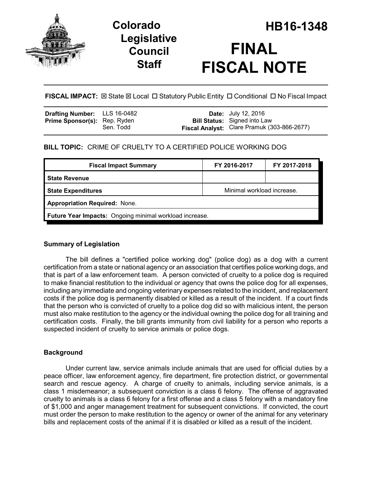

# **Legislative Council Staff**



**FISCAL IMPACT:** ⊠ State ⊠ Local □ Statutory Public Entity □ Conditional □ No Fiscal Impact

| <b>Date:</b> July 12, 2016<br><b>Bill Status:</b> Signed into Law<br>Fiscal Analyst: Clare Pramuk (303-866-2677) | Sen. Todd | Drafting Number: LLS 16-0482<br><b>Prime Sponsor(s): Rep. Ryden</b> |
|------------------------------------------------------------------------------------------------------------------|-----------|---------------------------------------------------------------------|
|                                                                                                                  |           |                                                                     |

## **BILL TOPIC:** CRIME OF CRUELTY TO A CERTIFIED POLICE WORKING DOG

| <b>Fiscal Impact Summary</b>                            | FY 2016-2017               | FY 2017-2018 |  |  |
|---------------------------------------------------------|----------------------------|--------------|--|--|
| <b>State Revenue</b>                                    |                            |              |  |  |
| <b>State Expenditures</b>                               | Minimal workload increase. |              |  |  |
| <b>Appropriation Required: None.</b>                    |                            |              |  |  |
| Future Year Impacts: Ongoing minimal workload increase. |                            |              |  |  |
|                                                         |                            |              |  |  |

## **Summary of Legislation**

The bill defines a "certified police working dog" (police dog) as a dog with a current certification from a state or national agency or an association that certifies police working dogs, and that is part of a law enforcement team. A person convicted of cruelty to a police dog is required to make financial restitution to the individual or agency that owns the police dog for all expenses, including any immediate and ongoing veterinary expenses related to the incident, and replacement costs if the police dog is permanently disabled or killed as a result of the incident. If a court finds that the person who is convicted of cruelty to a police dog did so with malicious intent, the person must also make restitution to the agency or the individual owning the police dog for all training and certification costs. Finally, the bill grants immunity from civil liability for a person who reports a suspected incident of cruelty to service animals or police dogs.

## **Background**

Under current law, service animals include animals that are used for official duties by a peace officer, law enforcement agency, fire department, fire protection district, or governmental search and rescue agency. A charge of cruelty to animals, including service animals, is a class 1 misdemeanor; a subsequent conviction is a class 6 felony. The offense of aggravated cruelty to animals is a class 6 felony for a first offense and a class 5 felony with a mandatory fine of \$1,000 and anger management treatment for subsequent convictions. If convicted, the court must order the person to make restitution to the agency or owner of the animal for any veterinary bills and replacement costs of the animal if it is disabled or killed as a result of the incident.